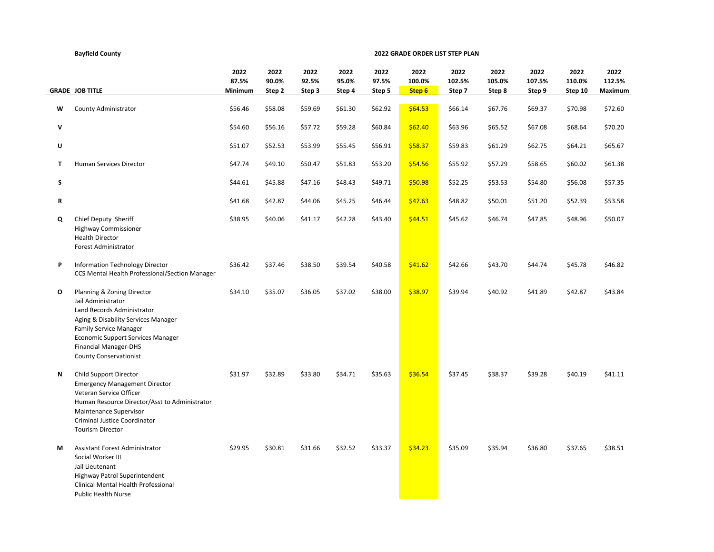## **2022 2022 2022 2022 2022 2022 2022 2022 2022 2022 2022 87.5% 90.0% 92.5% 95.0% 97.5% 100.0% 102.5% 105.0% 107.5% 110.0% 112.5% GRADE JOB TITLE Minimum Step 2 Step 3 Step 4 Step 5 Step 6 Step 7 Step 8 Step 9 Step 10 Maximum W** County Administrator **Xary 356.46 \$58.08 \$58.08 \$59.69 \$61.30** \$62.92 \$64.53 \$66.14 \$67.76 \$69.37 \$70.98 \$72.60 **V** \$54.60 \$56.16 \$57.72 \$59.28 \$60.84 \$62.40 \$63.96 \$65.52 \$67.08 \$68.64 \$70.20 **U** \$51.07 \$52.53 \$53.99 \$55.45 \$56.91 \$58.37 \$59.83 \$61.29 \$62.75 \$64.21 \$65.67 **T** Human Services Director **868.20 \$47.74 \$49.10 \$50.47 \$51.83 \$53.20 \$54.56** \$55.92 \$57.29 \$58.65 \$60.02 \$61.38 **S** \$44.61 \$45.88 \$47.16 \$48.43 \$49.71 \$50.98 \$52.25 \$53.53 \$54.80 \$56.08 \$57.35 **R** \$41.68 \$42.87 \$44.06 \$45.25 \$46.44 \$47.63 \$48.82 \$50.01 \$51.20 \$52.39 \$53.58 **Q** Chief Deputy Sheriff \$38.95 \$40.06 \$41.17 \$42.28 \$43.40 \$44.51 \$45.62 \$46.74 \$47.85 \$48.96 \$50.07 Highway Commissioner Health Director Forest Administrator **P** Information Technology Director \$36.42 \$37.46 \$38.50 \$39.54 \$40.58 \$41.62 \$42.66 \$43.70 \$44.74 \$45.78 \$46.82 CCS Mental Health Professional/Section Manager **O** Planning & Zoning Director **\$34.10 \$34.10 \$35.07 \$36.05 \$37.02** \$38.00 \$38.97 \$39.94 \$40.92 \$41.89 \$42.87 \$43.84 Jail Administrator Land Records Administrator Aging & Disability Services Manager Family Service Manager Economic Support Services Manager Financial Manager-DHS County Conservationist **N** Child Support Director \$31.97 \$32.89 \$33.80 \$34.71 \$35.63 \$36.54 \$37.45 \$38.37 \$39.28 \$40.19 \$41.11 Emergency Management Director Veteran Service Officer Human Resource Director/Asst to Administrator Maintenance Supervisor Criminal Justice Coordinator Tourism Director **M** Assistant Forest Administrator **629.95 \$30.81 \$31.66 \$32.52 \$33.37** \$34.23 \$35.09 \$35.94 \$36.80 \$37.65 \$38.51 Social Worker III Jail Lieutenant Highway Patrol Superintendent Clinical Mental Health Professional Public Health Nurse

**2022 GRADE ORDER LIST STEP PLAN**

**Bayfield County**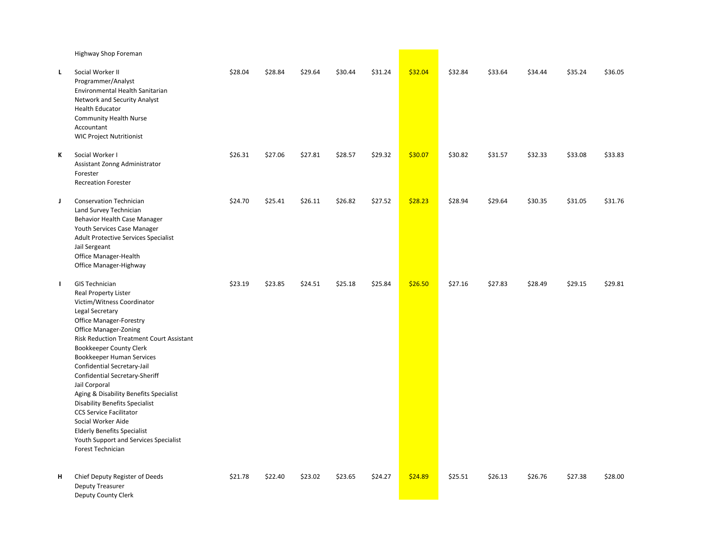|              | Highway Shop Foreman                                                                                                                                                                                                                                                                                                                                                                                                                                                                                                                                                                                  |         |         |         |         |         |         |         |         |         |         |         |
|--------------|-------------------------------------------------------------------------------------------------------------------------------------------------------------------------------------------------------------------------------------------------------------------------------------------------------------------------------------------------------------------------------------------------------------------------------------------------------------------------------------------------------------------------------------------------------------------------------------------------------|---------|---------|---------|---------|---------|---------|---------|---------|---------|---------|---------|
| L            | Social Worker II<br>Programmer/Analyst<br>Environmental Health Sanitarian<br>Network and Security Analyst<br><b>Health Educator</b><br><b>Community Health Nurse</b><br>Accountant<br><b>WIC Project Nutritionist</b>                                                                                                                                                                                                                                                                                                                                                                                 | \$28.04 | \$28.84 | \$29.64 | \$30.44 | \$31.24 | \$32.04 | \$32.84 | \$33.64 | \$34.44 | \$35.24 | \$36.05 |
| Κ            | Social Worker I<br>Assistant Zonng Administrator<br>Forester<br><b>Recreation Forester</b>                                                                                                                                                                                                                                                                                                                                                                                                                                                                                                            | \$26.31 | \$27.06 | \$27.81 | \$28.57 | \$29.32 | \$30.07 | \$30.82 | \$31.57 | \$32.33 | \$33.08 | \$33.83 |
| J            | Conservation Technician<br>Land Survey Technician<br>Behavior Health Case Manager<br>Youth Services Case Manager<br>Adult Protective Services Specialist<br>Jail Sergeant<br>Office Manager-Health<br>Office Manager-Highway                                                                                                                                                                                                                                                                                                                                                                          | \$24.70 | \$25.41 | \$26.11 | \$26.82 | \$27.52 | \$28.23 | \$28.94 | \$29.64 | \$30.35 | \$31.05 | \$31.76 |
| $\mathbf{L}$ | <b>GIS Technician</b><br>Real Property Lister<br>Victim/Witness Coordinator<br>Legal Secretary<br><b>Office Manager-Forestry</b><br>Office Manager-Zoning<br><b>Risk Reduction Treatment Court Assistant</b><br>Bookkeeper County Clerk<br>Bookkeeper Human Services<br>Confidential Secretary-Jail<br>Confidential Secretary-Sheriff<br>Jail Corporal<br>Aging & Disability Benefits Specialist<br><b>Disability Benefits Specialist</b><br><b>CCS Service Facilitator</b><br>Social Worker Aide<br><b>Elderly Benefits Specialist</b><br>Youth Support and Services Specialist<br>Forest Technician | \$23.19 | \$23.85 | \$24.51 | \$25.18 | \$25.84 | \$26.50 | \$27.16 | \$27.83 | \$28.49 | \$29.15 | \$29.81 |
| н            | Chief Deputy Register of Deeds<br>Deputy Treasurer<br>Deputy County Clerk                                                                                                                                                                                                                                                                                                                                                                                                                                                                                                                             | \$21.78 | \$22.40 | \$23.02 | \$23.65 | \$24.27 | \$24.89 | \$25.51 | \$26.13 | \$26.76 | \$27.38 | \$28.00 |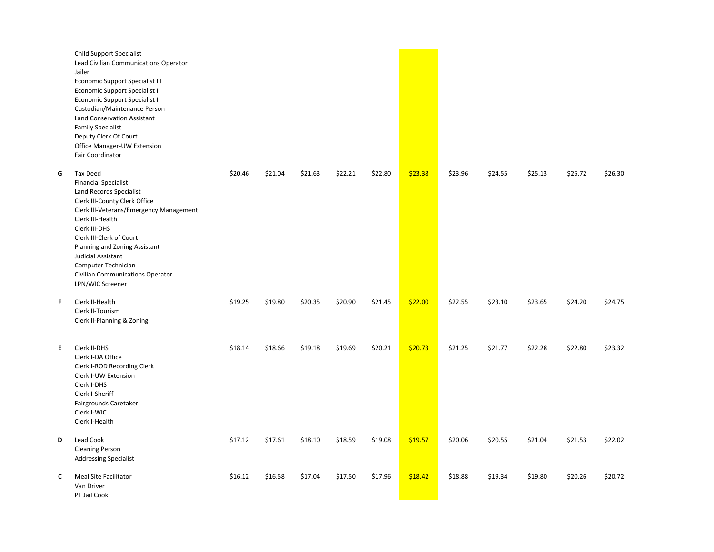|    | Child Support Specialist<br>Lead Civilian Communications Operator<br>Jailer<br><b>Economic Support Specialist III</b><br>Economic Support Specialist II<br>Economic Support Specialist I<br>Custodian/Maintenance Person<br><b>Land Conservation Assistant</b><br><b>Family Specialist</b><br>Deputy Clerk Of Court<br>Office Manager-UW Extension<br><b>Fair Coordinator</b> |         |         |         |         |         |         |         |         |         |         |         |
|----|-------------------------------------------------------------------------------------------------------------------------------------------------------------------------------------------------------------------------------------------------------------------------------------------------------------------------------------------------------------------------------|---------|---------|---------|---------|---------|---------|---------|---------|---------|---------|---------|
| G  | <b>Tax Deed</b><br><b>Financial Specialist</b><br><b>Land Records Specialist</b><br>Clerk III-County Clerk Office<br>Clerk III-Veterans/Emergency Management<br>Clerk III-Health<br>Clerk III-DHS<br>Clerk III-Clerk of Court<br>Planning and Zoning Assistant<br>Judicial Assistant<br>Computer Technician<br>Civilian Communications Operator<br>LPN/WIC Screener           | \$20.46 | \$21.04 | \$21.63 | \$22.21 | \$22.80 | \$23.38 | \$23.96 | \$24.55 | \$25.13 | \$25.72 | \$26.30 |
| F  | Clerk II-Health<br>Clerk II-Tourism<br>Clerk II-Planning & Zoning                                                                                                                                                                                                                                                                                                             | \$19.25 | \$19.80 | \$20.35 | \$20.90 | \$21.45 | \$22.00 | \$22.55 | \$23.10 | \$23.65 | \$24.20 | \$24.75 |
| E. | Clerk II-DHS<br>Clerk I-DA Office<br>Clerk I-ROD Recording Clerk<br>Clerk I-UW Extension<br>Clerk I-DHS<br>Clerk I-Sheriff<br>Fairgrounds Caretaker<br>Clerk I-WIC<br>Clerk I-Health                                                                                                                                                                                          | \$18.14 | \$18.66 | \$19.18 | \$19.69 | \$20.21 | \$20.73 | \$21.25 | \$21.77 | \$22.28 | \$22.80 | \$23.32 |
| D  | Lead Cook<br><b>Cleaning Person</b><br><b>Addressing Specialist</b>                                                                                                                                                                                                                                                                                                           | \$17.12 | \$17.61 | \$18.10 | \$18.59 | \$19.08 | \$19.57 | \$20.06 | \$20.55 | \$21.04 | \$21.53 | \$22.02 |
| C  | Meal Site Facilitator<br>Van Driver<br>PT Jail Cook                                                                                                                                                                                                                                                                                                                           | \$16.12 | \$16.58 | \$17.04 | \$17.50 | \$17.96 | \$18.42 | \$18.88 | \$19.34 | \$19.80 | \$20.26 | \$20.72 |